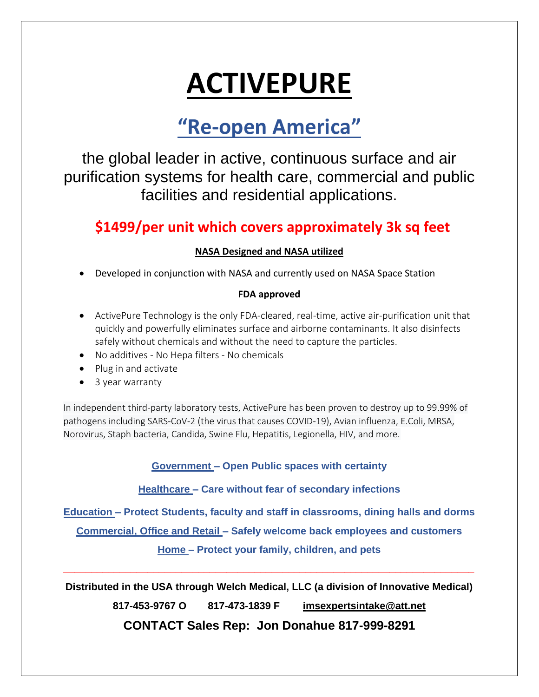# **ACTIVEPURE**

# **"Re-open America"**

the global leader in active, continuous surface and air purification systems for health care, commercial and public facilities and residential applications.

## **\$1499/per unit which covers approximately 3k sq feet**

### **NASA Designed and NASA utilized**

Developed in conjunction with NASA and currently used on NASA Space Station

#### **FDA approved**

- ActivePure Technology is the only FDA-cleared, real-time, active air-purification unit that quickly and powerfully eliminates surface and airborne contaminants. It also disinfects safely without chemicals and without the need to capture the particles.
- No additives No Hepa filters No chemicals
- Plug in and activate
- 3 year warranty

In independent third-party laboratory tests, ActivePure has been proven to destroy up to 99.99% of pathogens including SARS-CoV-2 (the virus that causes COVID-19), Avian influenza, E.Coli, MRSA, Norovirus, Staph bacteria, Candida, Swine Flu, Hepatitis, Legionella, HIV, and more.

**Government – Open Public spaces with certainty**

**Healthcare – Care without fear of secondary infections**

**Education – Protect Students, faculty and staff in classrooms, dining halls and dorms**

**Commercial, Office and Retail – Safely welcome back employees and customers**

**Home – Protect your family, children, and pets**

**Distributed in the USA through Welch Medical, LLC (a division of Innovative Medical)**

**\_\_\_\_\_\_\_\_\_\_\_\_\_\_\_\_\_\_\_\_\_\_\_\_\_\_\_\_\_\_\_\_\_\_\_\_\_\_\_\_\_\_\_\_\_\_\_\_\_\_\_\_\_\_\_\_\_\_\_\_\_\_\_\_\_\_\_\_\_\_\_\_\_**

**817-453-9767 O 817-473-1839 F [imsexpertsintake@att.net](mailto:imsexpertsintake@att.net)**

**CONTACT Sales Rep: Jon Donahue 817-999-8291**